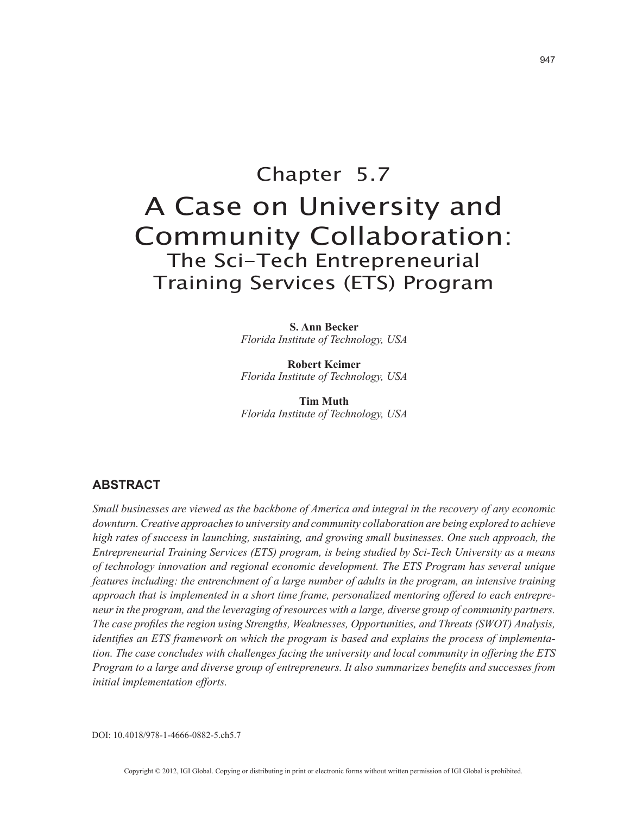# Chapter 5.7 A Case on University and Community Collaboration: The Sci-Tech Entrepreneurial Training Services (ETS) Program

**S. Ann Becker** *Florida Institute of Technology, USA*

**Robert Keimer** *Florida Institute of Technology, USA*

**Tim Muth** *Florida Institute of Technology, USA*

# **ABSTRACT**

*Small businesses are viewed as the backbone of America and integral in the recovery of any economic downturn. Creative approaches to university and community collaboration are being explored to achieve high rates of success in launching, sustaining, and growing small businesses. One such approach, the Entrepreneurial Training Services (ETS) program, is being studied by Sci-Tech University as a means of technology innovation and regional economic development. The ETS Program has several unique features including: the entrenchment of a large number of adults in the program, an intensive training approach that is implemented in a short time frame, personalized mentoring offered to each entrepreneur in the program, and the leveraging of resources with a large, diverse group of community partners. The case profiles the region using Strengths, Weaknesses, Opportunities, and Threats (SWOT) Analysis, identifies an ETS framework on which the program is based and explains the process of implementation. The case concludes with challenges facing the university and local community in offering the ETS Program to a large and diverse group of entrepreneurs. It also summarizes benefits and successes from initial implementation efforts.*

DOI: 10.4018/978-1-4666-0882-5.ch5.7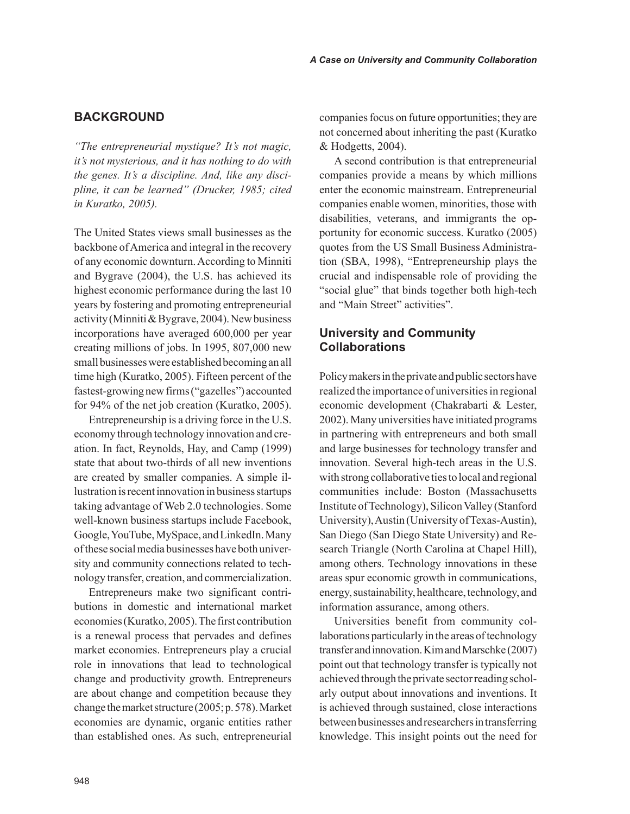# **BACKGROUND**

*"The entrepreneurial mystique? It's not magic, it's not mysterious, and it has nothing to do with the genes. It's a discipline. And, like any discipline, it can be learned" (Drucker, 1985; cited in Kuratko, 2005).* 

The United States views small businesses as the backbone of America and integral in the recovery of any economic downturn. According to Minniti and Bygrave (2004), the U.S. has achieved its highest economic performance during the last 10 years by fostering and promoting entrepreneurial activity (Minniti & Bygrave, 2004). New business incorporations have averaged 600,000 per year creating millions of jobs. In 1995, 807,000 new small businesses were established becoming an all time high (Kuratko, 2005). Fifteen percent of the fastest-growing new firms ("gazelles") accounted for 94% of the net job creation (Kuratko, 2005).

Entrepreneurship is a driving force in the U.S. economy through technology innovation and creation. In fact, Reynolds, Hay, and Camp (1999) state that about two-thirds of all new inventions are created by smaller companies. A simple illustration is recent innovation in business startups taking advantage of Web 2.0 technologies. Some well-known business startups include Facebook, Google, YouTube, MySpace, and LinkedIn. Many of these social media businesses have both university and community connections related to technology transfer, creation, and commercialization.

Entrepreneurs make two significant contributions in domestic and international market economies (Kuratko, 2005). The first contribution is a renewal process that pervades and defines market economies. Entrepreneurs play a crucial role in innovations that lead to technological change and productivity growth. Entrepreneurs are about change and competition because they change the market structure (2005; p. 578). Market economies are dynamic, organic entities rather than established ones. As such, entrepreneurial companies focus on future opportunities; they are not concerned about inheriting the past (Kuratko & Hodgetts, 2004).

A second contribution is that entrepreneurial companies provide a means by which millions enter the economic mainstream. Entrepreneurial companies enable women, minorities, those with disabilities, veterans, and immigrants the opportunity for economic success. Kuratko (2005) quotes from the US Small Business Administration (SBA, 1998), "Entrepreneurship plays the crucial and indispensable role of providing the "social glue" that binds together both high-tech and "Main Street" activities".

# **University and Community Collaborations**

Policy makers in the private and public sectors have realized the importance of universities in regional economic development (Chakrabarti & Lester, 2002). Many universities have initiated programs in partnering with entrepreneurs and both small and large businesses for technology transfer and innovation. Several high-tech areas in the U.S. with strong collaborative ties to local and regional communities include: Boston (Massachusetts Institute of Technology), Silicon Valley (Stanford University), Austin (University of Texas-Austin), San Diego (San Diego State University) and Research Triangle (North Carolina at Chapel Hill), among others. Technology innovations in these areas spur economic growth in communications, energy, sustainability, healthcare, technology, and information assurance, among others.

Universities benefit from community collaborations particularly in the areas of technology transfer and innovation. Kim and Marschke (2007) point out that technology transfer is typically not achieved through the private sector reading scholarly output about innovations and inventions. It is achieved through sustained, close interactions between businesses and researchers in transferring knowledge. This insight points out the need for